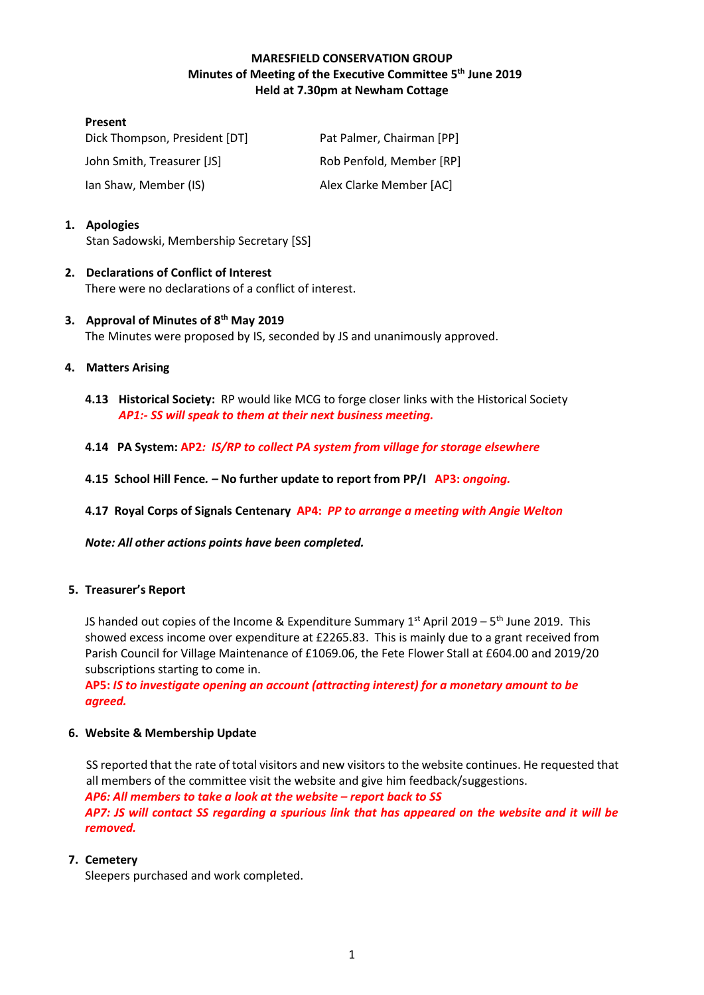# **MARESFIELD CONSERVATION GROUP Minutes of Meeting of the Executive Committee 5 th June 2019 Held at 7.30pm at Newham Cottage**

| <b>Present</b>                |                           |
|-------------------------------|---------------------------|
| Dick Thompson, President [DT] | Pat Palmer, Chairman [PP] |
| John Smith, Treasurer [JS]    | Rob Penfold, Member [RP]  |
| lan Shaw, Member (IS)         | Alex Clarke Member [AC]   |

# **1. Apologies**

Stan Sadowski, Membership Secretary [SS]

### **2. Declarations of Conflict of Interest** There were no declarations of a conflict of interest.

# **3. Approval of Minutes of 8 th May 2019** The Minutes were proposed by IS, seconded by JS and unanimously approved.

# **4. Matters Arising**

- **4.13 Historical Society:** RP would like MCG to forge closer links with the Historical Society *AP1:- SS will speak to them at their next business meeting.*
- **4.14 PA System: AP2***: IS/RP to collect PA system from village for storage elsewhere*
- **4.15 School Hill Fence***. –* **No further update to report from PP/I AP3:** *ongoing.*
- **4.17 Royal Corps of Signals Centenary AP4:** *PP to arrange a meeting with Angie Welton*

*Note: All other actions points have been completed.*

#### **5. Treasurer's Report**

JS handed out copies of the Income & Expenditure Summary 1<sup>st</sup> April 2019 – 5<sup>th</sup> June 2019. This showed excess income over expenditure at £2265.83. This is mainly due to a grant received from Parish Council for Village Maintenance of £1069.06, the Fete Flower Stall at £604.00 and 2019/20 subscriptions starting to come in.

**AP5:** *IS to investigate opening an account (attracting interest) for a monetary amount to be agreed.*

#### **6. Website & Membership Update**

SS reported that the rate of total visitors and new visitors to the website continues. He requested that all members of the committee visit the website and give him feedback/suggestions. *AP6: All members to take a look at the website – report back to SS AP7: JS will contact SS regarding a spurious link that has appeared on the website and it will be removed.*

#### **7. Cemetery**

Sleepers purchased and work completed.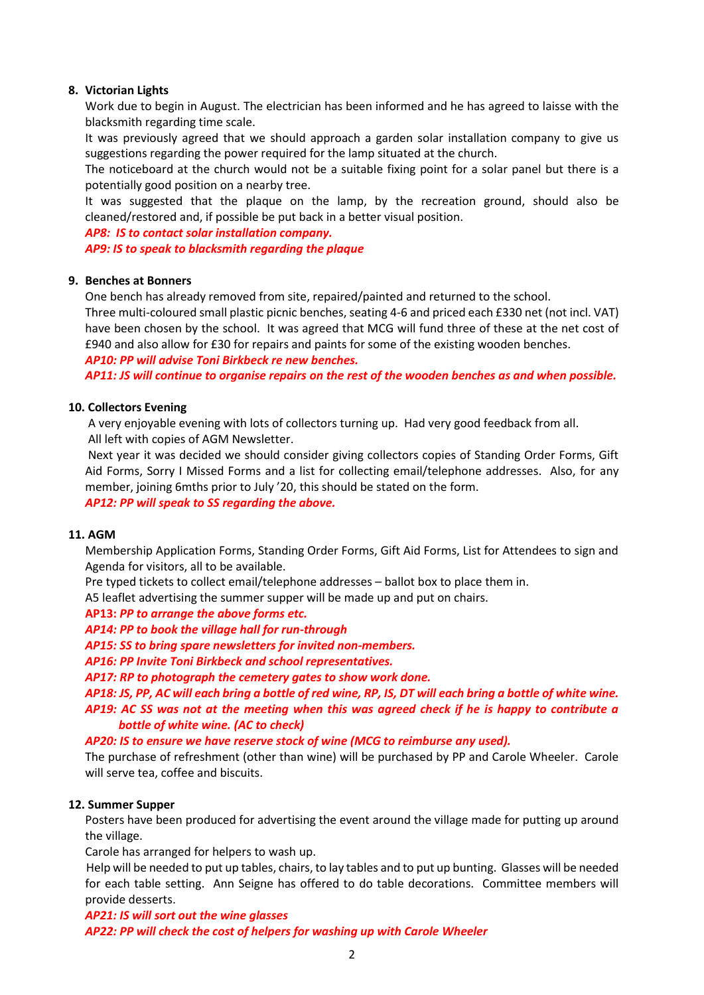### **8. Victorian Lights**

Work due to begin in August. The electrician has been informed and he has agreed to laisse with the blacksmith regarding time scale.

It was previously agreed that we should approach a garden solar installation company to give us suggestions regarding the power required for the lamp situated at the church.

The noticeboard at the church would not be a suitable fixing point for a solar panel but there is a potentially good position on a nearby tree.

It was suggested that the plaque on the lamp, by the recreation ground, should also be cleaned/restored and, if possible be put back in a better visual position.

*AP8: IS to contact solar installation company. AP9: IS to speak to blacksmith regarding the plaque*

# **9. Benches at Bonners**

One bench has already removed from site, repaired/painted and returned to the school.

Three multi-coloured small plastic picnic benches, seating 4-6 and priced each £330 net (not incl. VAT) have been chosen by the school. It was agreed that MCG will fund three of these at the net cost of £940 and also allow for £30 for repairs and paints for some of the existing wooden benches.

*AP10: PP will advise Toni Birkbeck re new benches.*

*AP11: JS will continue to organise repairs on the rest of the wooden benches as and when possible.*

#### **10. Collectors Evening**

A very enjoyable evening with lots of collectors turning up. Had very good feedback from all. All left with copies of AGM Newsletter.

Next year it was decided we should consider giving collectors copies of Standing Order Forms, Gift Aid Forms, Sorry I Missed Forms and a list for collecting email/telephone addresses. Also, for any member, joining 6mths prior to July '20, this should be stated on the form.

*AP12: PP will speak to SS regarding the above.*

#### **11. AGM**

Membership Application Forms, Standing Order Forms, Gift Aid Forms, List for Attendees to sign and Agenda for visitors, all to be available.

Pre typed tickets to collect email/telephone addresses – ballot box to place them in.

A5 leaflet advertising the summer supper will be made up and put on chairs.

#### **AP13:** *PP to arrange the above forms etc.*

*AP14: PP to book the village hall for run-through*

*AP15: SS to bring spare newsletters for invited non-members.*

*AP16: PP Invite Toni Birkbeck and school representatives.*

*AP17: RP to photograph the cemetery gates to show work done.*

*AP18: JS, PP, AC will each bring a bottle of red wine, RP, IS, DT will each bring a bottle of white wine. AP19: AC SS was not at the meeting when this was agreed check if he is happy to contribute a*

### *bottle of white wine. (AC to check)*

*AP20: IS to ensure we have reserve stock of wine (MCG to reimburse any used).*

The purchase of refreshment (other than wine) will be purchased by PP and Carole Wheeler. Carole will serve tea, coffee and biscuits.

#### **12. Summer Supper**

Posters have been produced for advertising the event around the village made for putting up around the village.

Carole has arranged for helpers to wash up.

 Help will be needed to put up tables, chairs, to lay tables and to put up bunting. Glasses will be needed for each table setting. Ann Seigne has offered to do table decorations. Committee members will provide desserts.

*AP21: IS will sort out the wine glasses AP22: PP will check the cost of helpers for washing up with Carole Wheeler*